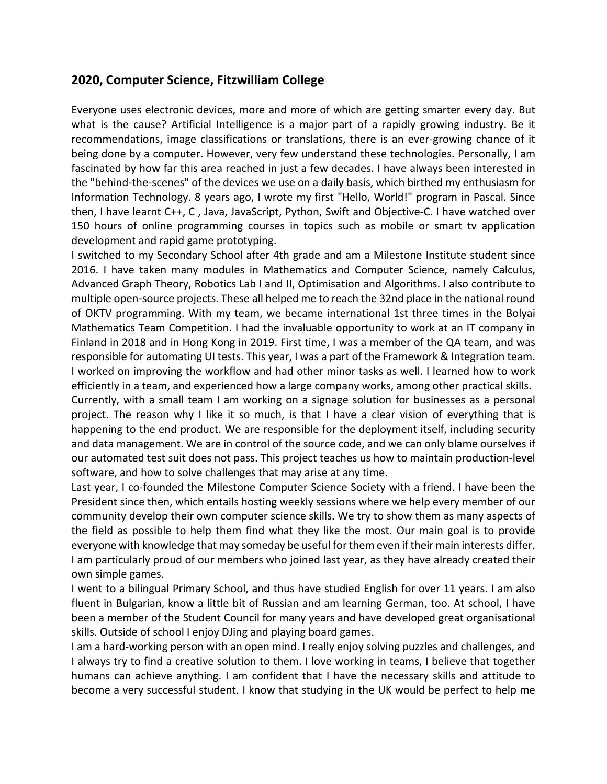## **2020, Computer Science, Fitzwilliam College**

Everyone uses electronic devices, more and more of which are getting smarter every day. But what is the cause? Artificial Intelligence is a major part of a rapidly growing industry. Be it recommendations, image classifications or translations, there is an ever-growing chance of it being done by a computer. However, very few understand these technologies. Personally, I am fascinated by how far this area reached in just a few decades. I have always been interested in the "behind-the-scenes" of the devices we use on a daily basis, which birthed my enthusiasm for Information Technology. 8 years ago, I wrote my first "Hello, World!" program in Pascal. Since then, I have learnt C++, C , Java, JavaScript, Python, Swift and Objective-C. I have watched over 150 hours of online programming courses in topics such as mobile or smart tv application development and rapid game prototyping.

I switched to my Secondary School after 4th grade and am a Milestone Institute student since 2016. I have taken many modules in Mathematics and Computer Science, namely Calculus, Advanced Graph Theory, Robotics Lab I and II, Optimisation and Algorithms. I also contribute to multiple open-source projects. These all helped me to reach the 32nd place in the national round of OKTV programming. With my team, we became international 1st three times in the Bolyai Mathematics Team Competition. I had the invaluable opportunity to work at an IT company in Finland in 2018 and in Hong Kong in 2019. First time, I was a member of the QA team, and was responsible for automating UI tests. This year, I was a part of the Framework & Integration team. I worked on improving the workflow and had other minor tasks as well. I learned how to work efficiently in a team, and experienced how a large company works, among other practical skills.

Currently, with a small team I am working on a signage solution for businesses as a personal project. The reason why I like it so much, is that I have a clear vision of everything that is happening to the end product. We are responsible for the deployment itself, including security and data management. We are in control of the source code, and we can only blame ourselves if our automated test suit does not pass. This project teaches us how to maintain production-level software, and how to solve challenges that may arise at any time.

Last year, I co-founded the Milestone Computer Science Society with a friend. I have been the President since then, which entails hosting weekly sessions where we help every member of our community develop their own computer science skills. We try to show them as many aspects of the field as possible to help them find what they like the most. Our main goal is to provide everyone with knowledge that may someday be useful for them even if their main interests differ. I am particularly proud of our members who joined last year, as they have already created their own simple games.

I went to a bilingual Primary School, and thus have studied English for over 11 years. I am also fluent in Bulgarian, know a little bit of Russian and am learning German, too. At school, I have been a member of the Student Council for many years and have developed great organisational skills. Outside of school I enjoy DJing and playing board games.

I am a hard-working person with an open mind. I really enjoy solving puzzles and challenges, and I always try to find a creative solution to them. I love working in teams, I believe that together humans can achieve anything. I am confident that I have the necessary skills and attitude to become a very successful student. I know that studying in the UK would be perfect to help me